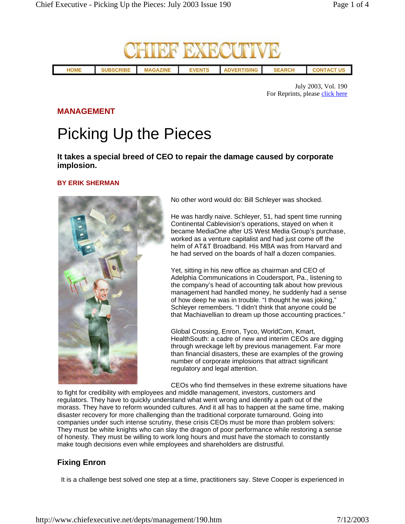

July 2003, Vol. 190 For Reprints, please click here

#### **MANAGEMENT**

# Picking Up the Pieces

**It takes a special breed of CEO to repair the damage caused by corporate implosion.** 

#### **BY ERIK SHERMAN**



No other word would do: Bill Schleyer was shocked.

He was hardly naive. Schleyer, 51, had spent time running Continental Cablevision's operations, stayed on when it became MediaOne after US West Media Group's purchase, worked as a venture capitalist and had just come off the helm of AT&T Broadband. His MBA was from Harvard and he had served on the boards of half a dozen companies.

Yet, sitting in his new office as chairman and CEO of Adelphia Communications in Coudersport, Pa., listening to the company's head of accounting talk about how previous management had handled money, he suddenly had a sense of how deep he was in trouble. "I thought he was joking," Schleyer remembers. "I didn't think that anyone could be that Machiavellian to dream up those accounting practices."

Global Crossing, Enron, Tyco, WorldCom, Kmart, HealthSouth: a cadre of new and interim CEOs are digging through wreckage left by previous management. Far more than financial disasters, these are examples of the growing number of corporate implosions that attract significant regulatory and legal attention.

CEOs who find themselves in these extreme situations have

to fight for credibility with employees and middle management, investors, customers and regulators. They have to quickly understand what went wrong and identify a path out of the morass. They have to reform wounded cultures. And it all has to happen at the same time, making disaster recovery for more challenging than the traditional corporate turnaround. Going into companies under such intense scrutiny, these crisis CEOs must be more than problem solvers: They must be white knights who can slay the dragon of poor performance while restoring a sense of honesty. They must be willing to work long hours and must have the stomach to constantly make tough decisions even while employees and shareholders are distrustful.

## **Fixing Enron**

It is a challenge best solved one step at a time, practitioners say. Steve Cooper is experienced in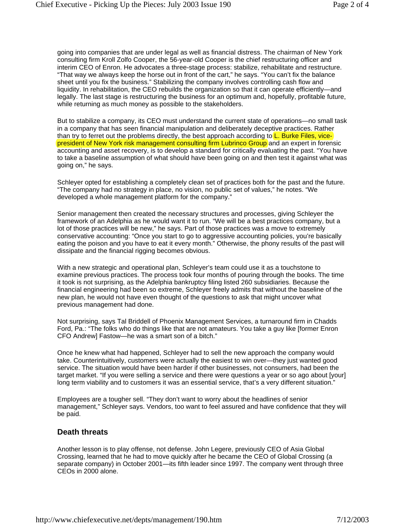going into companies that are under legal as well as financial distress. The chairman of New York consulting firm Kroll Zolfo Cooper, the 56-year-old Cooper is the chief restructuring officer and interim CEO of Enron. He advocates a three-stage process: stabilize, rehabilitate and restructure. "That way we always keep the horse out in front of the cart," he says. "You can't fix the balance sheet until you fix the business." Stabilizing the company involves controlling cash flow and liquidity. In rehabilitation, the CEO rebuilds the organization so that it can operate efficiently—and legally. The last stage is restructuring the business for an optimum and, hopefully, profitable future, while returning as much money as possible to the stakeholders.

But to stabilize a company, its CEO must understand the current state of operations—no small task in a company that has seen financial manipulation and deliberately deceptive practices. Rather than try to ferret out the problems directly, the best approach according to  $L$ . Burke Files, vicepresident of New York risk management consulting firm Lubrinco Group and an expert in forensic accounting and asset recovery, is to develop a standard for critically evaluating the past. "You have to take a baseline assumption of what should have been going on and then test it against what was going on," he says.

Schleyer opted for establishing a completely clean set of practices both for the past and the future. "The company had no strategy in place, no vision, no public set of values," he notes. "We developed a whole management platform for the company."

Senior management then created the necessary structures and processes, giving Schleyer the framework of an Adelphia as he would want it to run. "We will be a best practices company, but a lot of those practices will be new," he says. Part of those practices was a move to extremely conservative accounting: "Once you start to go to aggressive accounting policies, you're basically eating the poison and you have to eat it every month." Otherwise, the phony results of the past will dissipate and the financial rigging becomes obvious.

With a new strategic and operational plan, Schleyer's team could use it as a touchstone to examine previous practices. The process took four months of pouring through the books. The time it took is not surprising, as the Adelphia bankruptcy filing listed 260 subsidiaries. Because the financial engineering had been so extreme, Schleyer freely admits that without the baseline of the new plan, he would not have even thought of the questions to ask that might uncover what previous management had done.

Not surprising, says Tal Briddell of Phoenix Management Services, a turnaround firm in Chadds Ford, Pa.: "The folks who do things like that are not amateurs. You take a guy like [former Enron CFO Andrew] Fastow—he was a smart son of a bitch."

Once he knew what had happened, Schleyer had to sell the new approach the company would take. Counterintuitively, customers were actually the easiest to win over—they just wanted good service. The situation would have been harder if other businesses, not consumers, had been the target market. "If you were selling a service and there were questions a year or so ago about [your] long term viability and to customers it was an essential service, that's a very different situation."

Employees are a tougher sell. "They don't want to worry about the headlines of senior management," Schleyer says. Vendors, too want to feel assured and have confidence that they will be paid.

#### **Death threats**

Another lesson is to play offense, not defense. John Legere, previously CEO of Asia Global Crossing, learned that he had to move quickly after he became the CEO of Global Crossing (a separate company) in October 2001—its fifth leader since 1997. The company went through three CEOs in 2000 alone.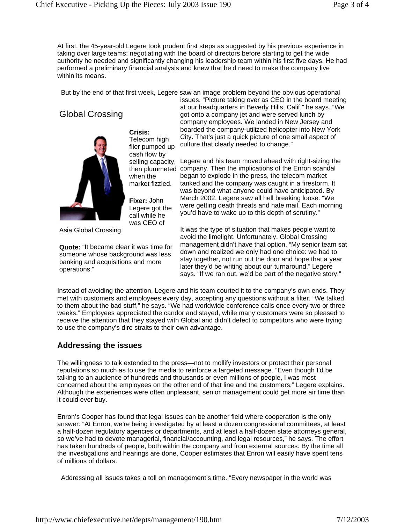At first, the 45-year-old Legere took prudent first steps as suggested by his previous experience in taking over large teams: negotiating with the board of directors before starting to get the wide authority he needed and significantly changing his leadership team within his first five days. He had performed a preliminary financial analysis and knew that he'd need to make the company live within its means.

But by the end of that first week, Legere saw an image problem beyond the obvious operational

# Global Crossing



**Crisis:** Telecom high flier pumped up cash flow by when the market fizzled.

**Fixer:** John Legere got the call while he was CEO of

Asia Global Crossing.

**Quote:** "It became clear it was time for someone whose background was less banking and acquisitions and more operations."

issues. "Picture taking over as CEO in the board meeting at our headquarters in Beverly Hills, Calif," he says. "We got onto a company jet and were served lunch by company employees. We landed in New Jersey and boarded the company-utilized helicopter into New York City. That's just a quick picture of one small aspect of culture that clearly needed to change."

selling capacity, Legere and his team moved ahead with right-sizing the then plummeted company. Then the implications of the Enron scandal began to explode in the press, the telecom market tanked and the company was caught in a firestorm. It was beyond what anyone could have anticipated. By March 2002, Legere saw all hell breaking loose: "We were getting death threats and hate mail. Each morning you'd have to wake up to this depth of scrutiny."

> It was the type of situation that makes people want to avoid the limelight. Unfortunately, Global Crossing management didn't have that option. "My senior team sat down and realized we only had one choice: we had to stay together, not run out the door and hope that a year later they'd be writing about our turnaround," Legere says. "If we ran out, we'd be part of the negative story."

Instead of avoiding the attention, Legere and his team courted it to the company's own ends. They met with customers and employees every day, accepting any questions without a filter. "We talked to them about the bad stuff," he says. "We had worldwide conference calls once every two or three weeks." Employees appreciated the candor and stayed, while many customers were so pleased to receive the attention that they stayed with Global and didn't defect to competitors who were trying to use the company's dire straits to their own advantage.

## **Addressing the issues**

The willingness to talk extended to the press—not to mollify investors or protect their personal reputations so much as to use the media to reinforce a targeted message. "Even though I'd be talking to an audience of hundreds and thousands or even millions of people, I was most concerned about the employees on the other end of that line and the customers," Legere explains. Although the experiences were often unpleasant, senior management could get more air time than it could ever buy.

Enron's Cooper has found that legal issues can be another field where cooperation is the only answer: "At Enron, we're being investigated by at least a dozen congressional committees, at least a half-dozen regulatory agencies or departments, and at least a half-dozen state attorneys general, so we've had to devote managerial, financial/accounting, and legal resources," he says. The effort has taken hundreds of people, both within the company and from external sources. By the time all the investigations and hearings are done, Cooper estimates that Enron will easily have spent tens of millions of dollars.

Addressing all issues takes a toll on management's time. "Every newspaper in the world was